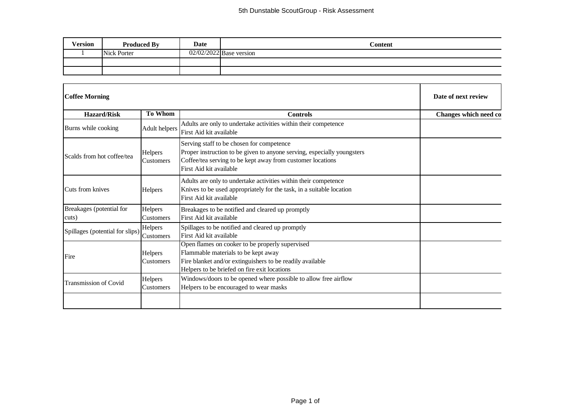| <b>Version</b> | <b>Produced By</b> | Date | Content                   |
|----------------|--------------------|------|---------------------------|
|                | Nick Porter        |      | $02/02/2022$ Base version |
|                |                    |      |                           |
|                |                    |      |                           |

| <b>Coffee Morning</b>             | Date of next review  |                                                                                                                                                                                                               |                       |
|-----------------------------------|----------------------|---------------------------------------------------------------------------------------------------------------------------------------------------------------------------------------------------------------|-----------------------|
| <b>Hazard/Risk</b>                | <b>To Whom</b>       | <b>Controls</b>                                                                                                                                                                                               | Changes which need co |
| Burns while cooking               | Adult helpers        | Adults are only to undertake activities within their competence<br>First Aid kit available                                                                                                                    |                       |
| Scalds from hot coffee/tea        | Helpers<br>Customers | Serving staff to be chosen for competence<br>Proper instruction to be given to anyone serving, especially youngsters<br>Coffee/tea serving to be kept away from customer locations<br>First Aid kit available |                       |
| Cuts from knives                  | Helpers              | Adults are only to undertake activities within their competence<br>Knives to be used appropriately for the task, in a suitable location<br>First Aid kit available                                            |                       |
| Breakages (potential for<br>cuts) | Helpers<br>Customers | Breakages to be notified and cleared up promptly<br>First Aid kit available                                                                                                                                   |                       |
| Spillages (potential for slips)   | Helpers<br>Customers | Spillages to be notified and cleared up promptly<br>First Aid kit available                                                                                                                                   |                       |
| Fire                              | Helpers<br>Customers | Open flames on cooker to be properly supervised<br>Flammable materials to be kept away<br>Fire blanket and/or extinguishers to be readily available<br>Helpers to be briefed on fire exit locations           |                       |
| <b>Transmission of Covid</b>      | Helpers<br>Customers | Windows/doors to be opened where possible to allow free airflow<br>Helpers to be encouraged to wear masks                                                                                                     |                       |
|                                   |                      |                                                                                                                                                                                                               |                       |